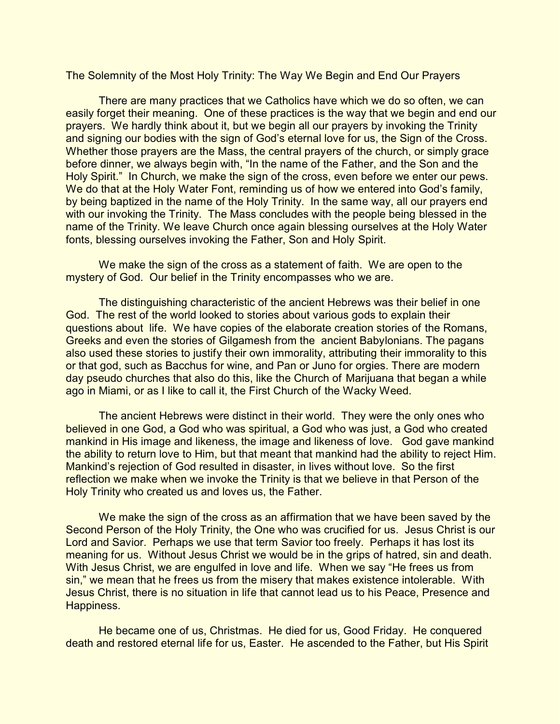The Solemnity of the Most Holy Trinity: The Way We Begin and End Our Prayers

There are many practices that we Catholics have which we do so often, we can easily forget their meaning. One of these practices is the way that we begin and end our prayers. We hardly think about it, but we begin all our prayers by invoking the Trinity and signing our bodies with the sign of God's eternal love for us, the Sign of the Cross. Whether those prayers are the Mass, the central prayers of the church, or simply grace before dinner, we always begin with, "In the name of the Father, and the Son and the Holy Spirit." In Church, we make the sign of the cross, even before we enter our pews. We do that at the Holy Water Font, reminding us of how we entered into God's family, by being baptized in the name of the Holy Trinity. In the same way, all our prayers end with our invoking the Trinity. The Mass concludes with the people being blessed in the name of the Trinity. We leave Church once again blessing ourselves at the Holy Water fonts, blessing ourselves invoking the Father, Son and Holy Spirit.

We make the sign of the cross as a statement of faith. We are open to the mystery of God. Our belief in the Trinity encompasses who we are.

The distinguishing characteristic of the ancient Hebrews was their belief in one God. The rest of the world looked to stories about various gods to explain their questions about life. We have copies of the elaborate creation stories of the Romans, Greeks and even the stories of Gilgamesh from the ancient Babylonians. The pagans also used these stories to justify their own immorality, attributing their immorality to this or that god, such as Bacchus for wine, and Pan or Juno for orgies. There are modern day pseudo churches that also do this, like the Church of Marijuana that began a while ago in Miami, or as I like to call it, the First Church of the Wacky Weed.

The ancient Hebrews were distinct in their world. They were the only ones who believed in one God, a God who was spiritual, a God who was just, a God who created mankind in His image and likeness, the image and likeness of love. God gave mankind the ability to return love to Him, but that meant that mankind had the ability to reject Him. Mankind's rejection of God resulted in disaster, in lives without love. So the first reflection we make when we invoke the Trinity is that we believe in that Person of the Holy Trinity who created us and loves us, the Father.

We make the sign of the cross as an affirmation that we have been saved by the Second Person of the Holy Trinity, the One who was crucified for us. Jesus Christ is our Lord and Savior. Perhaps we use that term Savior too freely. Perhaps it has lost its meaning for us. Without Jesus Christ we would be in the grips of hatred, sin and death. With Jesus Christ, we are engulfed in love and life. When we say "He frees us from sin," we mean that he frees us from the misery that makes existence intolerable. With Jesus Christ, there is no situation in life that cannot lead us to his Peace, Presence and Happiness.

He became one of us, Christmas. He died for us, Good Friday. He conquered death and restored eternal life for us, Easter. He ascended to the Father, but His Spirit